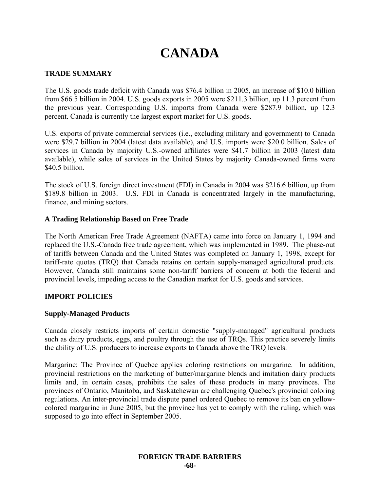# **CANADA**

## **TRADE SUMMARY**

The U.S. goods trade deficit with Canada was \$76.4 billion in 2005, an increase of \$10.0 billion from \$66.5 billion in 2004. U.S. goods exports in 2005 were \$211.3 billion, up 11.3 percent from the previous year. Corresponding U.S. imports from Canada were \$287.9 billion, up 12.3 percent. Canada is currently the largest export market for U.S. goods.

U.S. exports of private commercial services (i.e., excluding military and government) to Canada were \$29.7 billion in 2004 (latest data available), and U.S. imports were \$20.0 billion. Sales of services in Canada by majority U.S.-owned affiliates were \$41.7 billion in 2003 (latest data available), while sales of services in the United States by majority Canada-owned firms were \$40.5 billion.

The stock of U.S. foreign direct investment (FDI) in Canada in 2004 was \$216.6 billion, up from \$189.8 billion in 2003. U.S. FDI in Canada is concentrated largely in the manufacturing, finance, and mining sectors.

## **A Trading Relationship Based on Free Trade**

The North American Free Trade Agreement (NAFTA) came into force on January 1, 1994 and replaced the U.S.-Canada free trade agreement, which was implemented in 1989. The phase-out of tariffs between Canada and the United States was completed on January 1, 1998, except for tariff-rate quotas (TRQ) that Canada retains on certain supply-managed agricultural products. However, Canada still maintains some non-tariff barriers of concern at both the federal and provincial levels, impeding access to the Canadian market for U.S. goods and services.

## **IMPORT POLICIES**

## **Supply-Managed Products**

Canada closely restricts imports of certain domestic "supply-managed" agricultural products such as dairy products, eggs, and poultry through the use of TRQs. This practice severely limits the ability of U.S. producers to increase exports to Canada above the TRQ levels.

Margarine: The Province of Quebec applies coloring restrictions on margarine. In addition, provincial restrictions on the marketing of butter/margarine blends and imitation dairy products limits and, in certain cases, prohibits the sales of these products in many provinces. The provinces of Ontario, Manitoba, and Saskatchewan are challenging Quebec's provincial coloring regulations. An inter-provincial trade dispute panel ordered Quebec to remove its ban on yellowcolored margarine in June 2005, but the province has yet to comply with the ruling, which was supposed to go into effect in September 2005.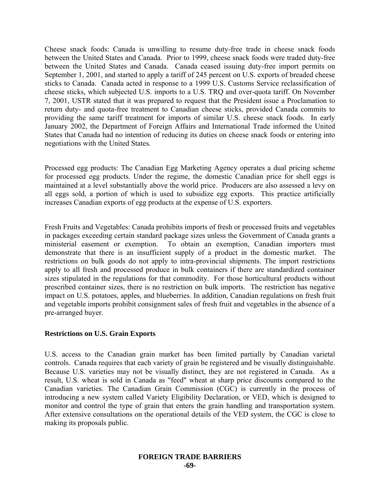Cheese snack foods: Canada is unwilling to resume duty-free trade in cheese snack foods between the United States and Canada. Prior to 1999, cheese snack foods were traded duty-free between the United States and Canada. Canada ceased issuing duty-free import permits on September 1, 2001, and started to apply a tariff of 245 percent on U.S. exports of breaded cheese sticks to Canada. Canada acted in response to a 1999 U.S. Customs Service reclassification of cheese sticks, which subjected U.S. imports to a U.S. TRQ and over-quota tariff. On November 7, 2001, USTR stated that it was prepared to request that the President issue a Proclamation to return duty- and quota-free treatment to Canadian cheese sticks, provided Canada commits to providing the same tariff treatment for imports of similar U.S. cheese snack foods. In early January 2002, the Department of Foreign Affairs and International Trade informed the United States that Canada had no intention of reducing its duties on cheese snack foods or entering into negotiations with the United States.

Processed egg products: The Canadian Egg Marketing Agency operates a dual pricing scheme for processed egg products. Under the regime, the domestic Canadian price for shell eggs is maintained at a level substantially above the world price. Producers are also assessed a levy on all eggs sold, a portion of which is used to subsidize egg exports. This practice artificially increases Canadian exports of egg products at the expense of U.S. exporters.

Fresh Fruits and Vegetables: Canada prohibits imports of fresh or processed fruits and vegetables in packages exceeding certain standard package sizes unless the Government of Canada grants a ministerial easement or exemption. To obtain an exemption, Canadian importers must demonstrate that there is an insufficient supply of a product in the domestic market. The restrictions on bulk goods do not apply to intra-provincial shipments. The import restrictions apply to all fresh and processed produce in bulk containers if there are standardized container sizes stipulated in the regulations for that commodity. For those horticultural products without prescribed container sizes, there is no restriction on bulk imports. The restriction has negative impact on U.S. potatoes, apples, and blueberries. In addition, Canadian regulations on fresh fruit and vegetable imports prohibit consignment sales of fresh fruit and vegetables in the absence of a pre-arranged buyer.

## **Restrictions on U.S. Grain Exports**

U.S. access to the Canadian grain market has been limited partially by Canadian varietal controls. Canada requires that each variety of grain be registered and be visually distinguishable. Because U.S. varieties may not be visually distinct, they are not registered in Canada. As a result, U.S. wheat is sold in Canada as "feed" wheat at sharp price discounts compared to the Canadian varieties. The Canadian Grain Commission (CGC) is currently in the process of introducing a new system called Variety Eligibility Declaration, or VED, which is designed to monitor and control the type of grain that enters the grain handling and transportation system. After extensive consultations on the operational details of the VED system, the CGC is close to making its proposals public.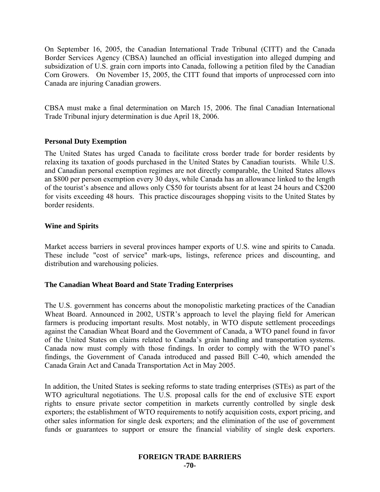On September 16, 2005, the Canadian International Trade Tribunal (CITT) and the Canada Border Services Agency (CBSA) launched an official investigation into alleged dumping and subsidization of U.S. grain corn imports into Canada, following a petition filed by the Canadian Corn Growers. On November 15, 2005, the CITT found that imports of unprocessed corn into Canada are injuring Canadian growers.

CBSA must make a final determination on March 15, 2006. The final Canadian International Trade Tribunal injury determination is due April 18, 2006.

## **Personal Duty Exemption**

The United States has urged Canada to facilitate cross border trade for border residents by relaxing its taxation of goods purchased in the United States by Canadian tourists. While U.S. and Canadian personal exemption regimes are not directly comparable, the United States allows an \$800 per person exemption every 30 days, while Canada has an allowance linked to the length of the tourist's absence and allows only C\$50 for tourists absent for at least 24 hours and C\$200 for visits exceeding 48 hours. This practice discourages shopping visits to the United States by border residents.

#### **Wine and Spirits**

Market access barriers in several provinces hamper exports of U.S. wine and spirits to Canada. These include "cost of service" mark-ups, listings, reference prices and discounting, and distribution and warehousing policies.

#### **The Canadian Wheat Board and State Trading Enterprises**

The U.S. government has concerns about the monopolistic marketing practices of the Canadian Wheat Board. Announced in 2002, USTR's approach to level the playing field for American farmers is producing important results. Most notably, in WTO dispute settlement proceedings against the Canadian Wheat Board and the Government of Canada, a WTO panel found in favor of the United States on claims related to Canada's grain handling and transportation systems. Canada now must comply with those findings. In order to comply with the WTO panel's findings, the Government of Canada introduced and passed Bill C-40, which amended the Canada Grain Act and Canada Transportation Act in May 2005.

In addition, the United States is seeking reforms to state trading enterprises (STEs) as part of the WTO agricultural negotiations. The U.S. proposal calls for the end of exclusive STE export rights to ensure private sector competition in markets currently controlled by single desk exporters; the establishment of WTO requirements to notify acquisition costs, export pricing, and other sales information for single desk exporters; and the elimination of the use of government funds or guarantees to support or ensure the financial viability of single desk exporters.

## **FOREIGN TRADE BARRIERS**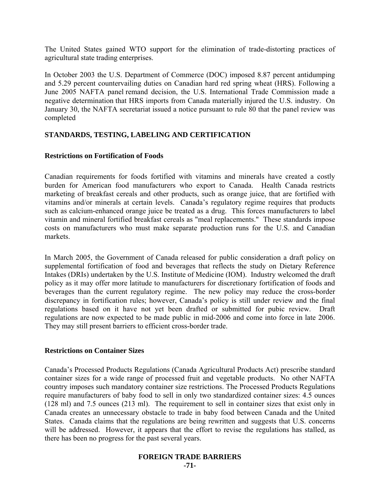The United States gained WTO support for the elimination of trade-distorting practices of agricultural state trading enterprises.

In October 2003 the U.S. Department of Commerce (DOC) imposed 8.87 percent antidumping and 5.29 percent countervailing duties on Canadian hard red spring wheat (HRS). Following a June 2005 NAFTA panel remand decision, the U.S. International Trade Commission made a negative determination that HRS imports from Canada materially injured the U.S. industry. On January 30, the NAFTA secretariat issued a notice pursuant to rule 80 that the panel review was completed

## **STANDARDS, TESTING, LABELING AND CERTIFICATION**

## **Restrictions on Fortification of Foods**

Canadian requirements for foods fortified with vitamins and minerals have created a costly burden for American food manufacturers who export to Canada. Health Canada restricts marketing of breakfast cereals and other products, such as orange juice, that are fortified with vitamins and/or minerals at certain levels. Canada's regulatory regime requires that products such as calcium-enhanced orange juice be treated as a drug. This forces manufacturers to label vitamin and mineral fortified breakfast cereals as "meal replacements." These standards impose costs on manufacturers who must make separate production runs for the U.S. and Canadian markets.

In March 2005, the Government of Canada released for public consideration a draft policy on supplemental fortification of food and beverages that reflects the study on Dietary Reference Intakes (DRIs) undertaken by the U.S. Institute of Medicine (IOM). Industry welcomed the draft policy as it may offer more latitude to manufacturers for discretionary fortification of foods and beverages than the current regulatory regime. The new policy may reduce the cross-border discrepancy in fortification rules; however, Canada's policy is still under review and the final regulations based on it have not yet been drafted or submitted for pubic review. Draft regulations are now expected to be made public in mid-2006 and come into force in late 2006. They may still present barriers to efficient cross-border trade.

## **Restrictions on Container Sizes**

Canada's Processed Products Regulations (Canada Agricultural Products Act) prescribe standard container sizes for a wide range of processed fruit and vegetable products. No other NAFTA country imposes such mandatory container size restrictions. The Processed Products Regulations require manufacturers of baby food to sell in only two standardized container sizes: 4.5 ounces (128 ml) and 7.5 ounces (213 ml). The requirement to sell in container sizes that exist only in Canada creates an unnecessary obstacle to trade in baby food between Canada and the United States. Canada claims that the regulations are being rewritten and suggests that U.S. concerns will be addressed. However, it appears that the effort to revise the regulations has stalled, as there has been no progress for the past several years.

# **FOREIGN TRADE BARRIERS**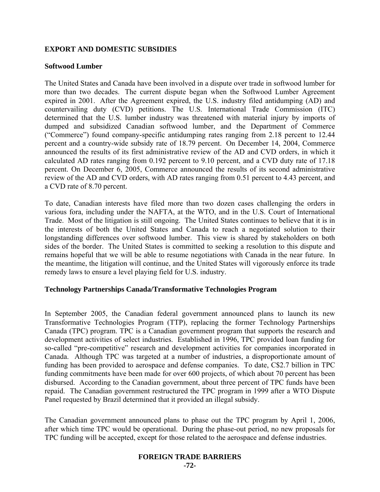## **EXPORT AND DOMESTIC SUBSIDIES**

#### **Softwood Lumber**

The United States and Canada have been involved in a dispute over trade in softwood lumber for more than two decades. The current dispute began when the Softwood Lumber Agreement expired in 2001. After the Agreement expired, the U.S. industry filed antidumping (AD) and countervailing duty (CVD) petitions. The U.S. International Trade Commission (ITC) determined that the U.S. lumber industry was threatened with material injury by imports of dumped and subsidized Canadian softwood lumber, and the Department of Commerce ("Commerce") found company-specific antidumping rates ranging from 2.18 percent to 12.44 percent and a country-wide subsidy rate of 18.79 percent. On December 14, 2004, Commerce announced the results of its first administrative review of the AD and CVD orders, in which it calculated AD rates ranging from 0.192 percent to 9.10 percent, and a CVD duty rate of 17.18 percent. On December 6, 2005, Commerce announced the results of its second administrative review of the AD and CVD orders, with AD rates ranging from 0.51 percent to 4.43 percent, and a CVD rate of 8.70 percent.

To date, Canadian interests have filed more than two dozen cases challenging the orders in various fora, including under the NAFTA, at the WTO, and in the U.S. Court of International Trade. Most of the litigation is still ongoing. The United States continues to believe that it is in the interests of both the United States and Canada to reach a negotiated solution to their longstanding differences over softwood lumber. This view is shared by stakeholders on both sides of the border. The United States is committed to seeking a resolution to this dispute and remains hopeful that we will be able to resume negotiations with Canada in the near future. In the meantime, the litigation will continue, and the United States will vigorously enforce its trade remedy laws to ensure a level playing field for U.S. industry.

## **Technology Partnerships Canada/Transformative Technologies Program**

In September 2005, the Canadian federal government announced plans to launch its new Transformative Technologies Program (TTP), replacing the former Technology Partnerships Canada (TPC) program. TPC is a Canadian government program that supports the research and development activities of select industries. Established in 1996, TPC provided loan funding for so-called "pre-competitive" research and development activities for companies incorporated in Canada. Although TPC was targeted at a number of industries, a disproportionate amount of funding has been provided to aerospace and defense companies. To date, C\$2.7 billion in TPC funding commitments have been made for over 600 projects, of which about 70 percent has been disbursed. According to the Canadian government, about three percent of TPC funds have been repaid. The Canadian government restructured the TPC program in 1999 after a WTO Dispute Panel requested by Brazil determined that it provided an illegal subsidy.

The Canadian government announced plans to phase out the TPC program by April 1, 2006, after which time TPC would be operational. During the phase-out period, no new proposals for TPC funding will be accepted, except for those related to the aerospace and defense industries.

## **FOREIGN TRADE BARRIERS**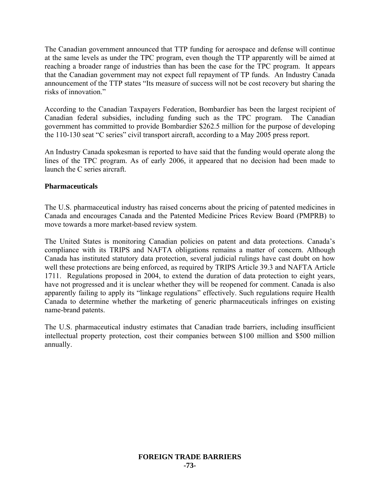The Canadian government announced that TTP funding for aerospace and defense will continue at the same levels as under the TPC program, even though the TTP apparently will be aimed at reaching a broader range of industries than has been the case for the TPC program. It appears that the Canadian government may not expect full repayment of TP funds. An Industry Canada announcement of the TTP states "Its measure of success will not be cost recovery but sharing the risks of innovation."

According to the Canadian Taxpayers Federation, Bombardier has been the largest recipient of Canadian federal subsidies, including funding such as the TPC program. The Canadian government has committed to provide Bombardier \$262.5 million for the purpose of developing the 110-130 seat "C series" civil transport aircraft, according to a May 2005 press report.

An Industry Canada spokesman is reported to have said that the funding would operate along the lines of the TPC program. As of early 2006, it appeared that no decision had been made to launch the C series aircraft.

## **Pharmaceuticals**

The U.S. pharmaceutical industry has raised concerns about the pricing of patented medicines in Canada and encourages Canada and the Patented Medicine Prices Review Board (PMPRB) to move towards a more market-based review system.

The United States is monitoring Canadian policies on patent and data protections. Canada's compliance with its TRIPS and NAFTA obligations remains a matter of concern. Although Canada has instituted statutory data protection, several judicial rulings have cast doubt on how well these protections are being enforced, as required by TRIPS Article 39.3 and NAFTA Article 1711. Regulations proposed in 2004, to extend the duration of data protection to eight years, have not progressed and it is unclear whether they will be reopened for comment. Canada is also apparently failing to apply its "linkage regulations" effectively. Such regulations require Health Canada to determine whether the marketing of generic pharmaceuticals infringes on existing name-brand patents.

The U.S. pharmaceutical industry estimates that Canadian trade barriers, including insufficient intellectual property protection, cost their companies between \$100 million and \$500 million annually.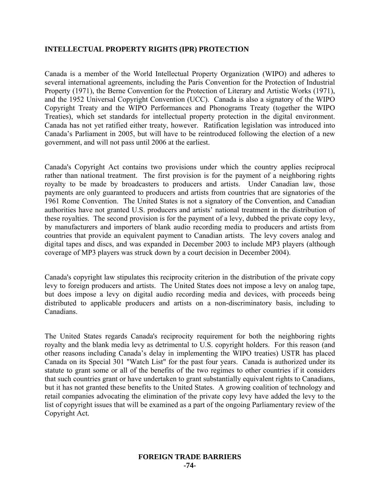## **INTELLECTUAL PROPERTY RIGHTS (IPR) PROTECTION**

Canada is a member of the World Intellectual Property Organization (WIPO) and adheres to several international agreements, including the Paris Convention for the Protection of Industrial Property (1971), the Berne Convention for the Protection of Literary and Artistic Works (1971), and the 1952 Universal Copyright Convention (UCC). Canada is also a signatory of the WIPO Copyright Treaty and the WIPO Performances and Phonograms Treaty (together the WIPO Treaties), which set standards for intellectual property protection in the digital environment. Canada has not yet ratified either treaty, however. Ratification legislation was introduced into Canada's Parliament in 2005, but will have to be reintroduced following the election of a new government, and will not pass until 2006 at the earliest.

Canada's Copyright Act contains two provisions under which the country applies reciprocal rather than national treatment. The first provision is for the payment of a neighboring rights royalty to be made by broadcasters to producers and artists. Under Canadian law, those payments are only guaranteed to producers and artists from countries that are signatories of the 1961 Rome Convention. The United States is not a signatory of the Convention, and Canadian authorities have not granted U.S. producers and artists' national treatment in the distribution of these royalties. The second provision is for the payment of a levy, dubbed the private copy levy, by manufacturers and importers of blank audio recording media to producers and artists from countries that provide an equivalent payment to Canadian artists. The levy covers analog and digital tapes and discs, and was expanded in December 2003 to include MP3 players (although coverage of MP3 players was struck down by a court decision in December 2004).

Canada's copyright law stipulates this reciprocity criterion in the distribution of the private copy levy to foreign producers and artists. The United States does not impose a levy on analog tape, but does impose a levy on digital audio recording media and devices, with proceeds being distributed to applicable producers and artists on a non-discriminatory basis, including to Canadians.

The United States regards Canada's reciprocity requirement for both the neighboring rights royalty and the blank media levy as detrimental to U.S. copyright holders. For this reason (and other reasons including Canada's delay in implementing the WIPO treaties) USTR has placed Canada on its Special 301 "Watch List" for the past four years. Canada is authorized under its statute to grant some or all of the benefits of the two regimes to other countries if it considers that such countries grant or have undertaken to grant substantially equivalent rights to Canadians, but it has not granted these benefits to the United States. A growing coalition of technology and retail companies advocating the elimination of the private copy levy have added the levy to the list of copyright issues that will be examined as a part of the ongoing Parliamentary review of the Copyright Act.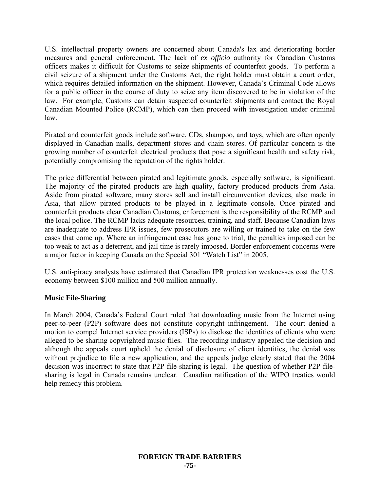U.S. intellectual property owners are concerned about Canada's lax and deteriorating border measures and general enforcement. The lack of *ex officio* authority for Canadian Customs officers makes it difficult for Customs to seize shipments of counterfeit goods. To perform a civil seizure of a shipment under the Customs Act, the right holder must obtain a court order, which requires detailed information on the shipment. However, Canada's Criminal Code allows for a public officer in the course of duty to seize any item discovered to be in violation of the law. For example, Customs can detain suspected counterfeit shipments and contact the Royal Canadian Mounted Police (RCMP), which can then proceed with investigation under criminal law.

Pirated and counterfeit goods include software, CDs, shampoo, and toys, which are often openly displayed in Canadian malls, department stores and chain stores. Of particular concern is the growing number of counterfeit electrical products that pose a significant health and safety risk, potentially compromising the reputation of the rights holder.

The price differential between pirated and legitimate goods, especially software, is significant. The majority of the pirated products are high quality, factory produced products from Asia. Aside from pirated software, many stores sell and install circumvention devices, also made in Asia, that allow pirated products to be played in a legitimate console. Once pirated and counterfeit products clear Canadian Customs, enforcement is the responsibility of the RCMP and the local police. The RCMP lacks adequate resources, training, and staff. Because Canadian laws are inadequate to address IPR issues, few prosecutors are willing or trained to take on the few cases that come up. Where an infringement case has gone to trial, the penalties imposed can be too weak to act as a deterrent, and jail time is rarely imposed. Border enforcement concerns were a major factor in keeping Canada on the Special 301 "Watch List" in 2005.

U.S. anti-piracy analysts have estimated that Canadian IPR protection weaknesses cost the U.S. economy between \$100 million and 500 million annually.

## **Music File-Sharing**

In March 2004, Canada's Federal Court ruled that downloading music from the Internet using peer-to-peer (P2P) software does not constitute copyright infringement. The court denied a motion to compel Internet service providers (ISPs) to disclose the identities of clients who were alleged to be sharing copyrighted music files. The recording industry appealed the decision and although the appeals court upheld the denial of disclosure of client identities, the denial was without prejudice to file a new application, and the appeals judge clearly stated that the 2004 decision was incorrect to state that P2P file-sharing is legal. The question of whether P2P filesharing is legal in Canada remains unclear. Canadian ratification of the WIPO treaties would help remedy this problem.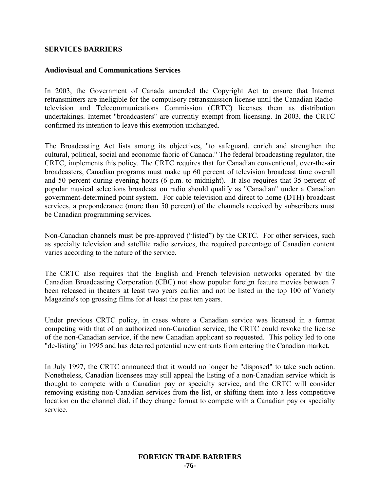## **SERVICES BARRIERS**

#### **Audiovisual and Communications Services**

In 2003, the Government of Canada amended the Copyright Act to ensure that Internet retransmitters are ineligible for the compulsory retransmission license until the Canadian Radiotelevision and Telecommunications Commission (CRTC) licenses them as distribution undertakings. Internet "broadcasters" are currently exempt from licensing. In 2003, the CRTC confirmed its intention to leave this exemption unchanged.

The Broadcasting Act lists among its objectives, "to safeguard, enrich and strengthen the cultural, political, social and economic fabric of Canada." The federal broadcasting regulator, the CRTC, implements this policy. The CRTC requires that for Canadian conventional, over-the-air broadcasters, Canadian programs must make up 60 percent of television broadcast time overall and 50 percent during evening hours (6 p.m. to midnight). It also requires that 35 percent of popular musical selections broadcast on radio should qualify as "Canadian" under a Canadian government-determined point system. For cable television and direct to home (DTH) broadcast services, a preponderance (more than 50 percent) of the channels received by subscribers must be Canadian programming services.

Non-Canadian channels must be pre-approved ("listed") by the CRTC. For other services, such as specialty television and satellite radio services, the required percentage of Canadian content varies according to the nature of the service.

The CRTC also requires that the English and French television networks operated by the Canadian Broadcasting Corporation (CBC) not show popular foreign feature movies between 7 been released in theaters at least two years earlier and not be listed in the top 100 of Variety Magazine's top grossing films for at least the past ten years.

Under previous CRTC policy, in cases where a Canadian service was licensed in a format competing with that of an authorized non-Canadian service, the CRTC could revoke the license of the non-Canadian service, if the new Canadian applicant so requested. This policy led to one "de-listing" in 1995 and has deterred potential new entrants from entering the Canadian market.

In July 1997, the CRTC announced that it would no longer be "disposed" to take such action. Nonetheless, Canadian licensees may still appeal the listing of a non-Canadian service which is thought to compete with a Canadian pay or specialty service, and the CRTC will consider removing existing non-Canadian services from the list, or shifting them into a less competitive location on the channel dial, if they change format to compete with a Canadian pay or specialty service.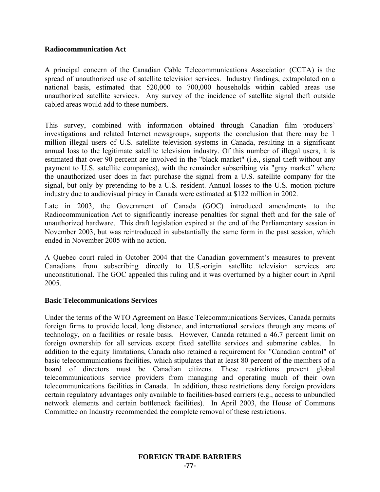## **Radiocommunication Act**

A principal concern of the Canadian Cable Telecommunications Association (CCTA) is the spread of unauthorized use of satellite television services. Industry findings, extrapolated on a national basis, estimated that 520,000 to 700,000 households within cabled areas use unauthorized satellite services. Any survey of the incidence of satellite signal theft outside cabled areas would add to these numbers.

This survey, combined with information obtained through Canadian film producers' investigations and related Internet newsgroups, supports the conclusion that there may be 1 million illegal users of U.S. satellite television systems in Canada, resulting in a significant annual loss to the legitimate satellite television industry. Of this number of illegal users, it is estimated that over 90 percent are involved in the "black market" (i.e., signal theft without any payment to U.S. satellite companies), with the remainder subscribing via "gray market" where the unauthorized user does in fact purchase the signal from a U.S. satellite company for the signal, but only by pretending to be a U.S. resident. Annual losses to the U.S. motion picture industry due to audiovisual piracy in Canada were estimated at \$122 million in 2002.

Late in 2003, the Government of Canada (GOC) introduced amendments to the Radiocommunication Act to significantly increase penalties for signal theft and for the sale of unauthorized hardware. This draft legislation expired at the end of the Parliamentary session in November 2003, but was reintroduced in substantially the same form in the past session, which ended in November 2005 with no action.

A Quebec court ruled in October 2004 that the Canadian government's measures to prevent Canadians from subscribing directly to U.S.-origin satellite television services are unconstitutional. The GOC appealed this ruling and it was overturned by a higher court in April 2005.

## **Basic Telecommunications Services**

Under the terms of the WTO Agreement on Basic Telecommunications Services, Canada permits foreign firms to provide local, long distance, and international services through any means of technology, on a facilities or resale basis. However, Canada retained a 46.7 percent limit on foreign ownership for all services except fixed satellite services and submarine cables. In addition to the equity limitations, Canada also retained a requirement for "Canadian control" of basic telecommunications facilities, which stipulates that at least 80 percent of the members of a board of directors must be Canadian citizens. These restrictions prevent global telecommunications service providers from managing and operating much of their own telecommunications facilities in Canada. In addition, these restrictions deny foreign providers certain regulatory advantages only available to facilities-based carriers (e.g., access to unbundled network elements and certain bottleneck facilities). In April 2003, the House of Commons Committee on Industry recommended the complete removal of these restrictions.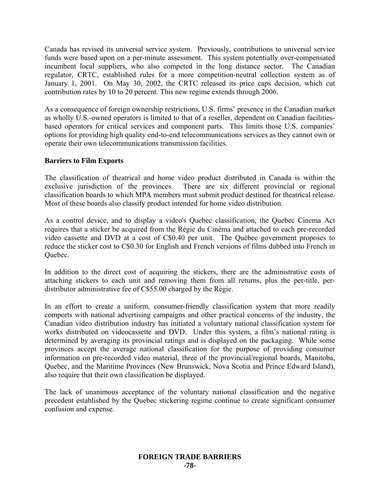Canada has revised its universal service system. Previously, contributions to universal service funds were based upon on a per-minute assessment. This system potentially over-compensated incumbent local suppliers, who also competed in the long distance sector. The Canadian regulator, CRTC, established rules for a more competition-neutral collection system as of January 1, 2001. On May 30, 2002, the CRTC released its price caps decision, which cut contribution rates by 10 to 20 percent. This new regime extends through 2006.

As a consequence of foreign ownership restrictions, U.S. firms' presence in the Canadian market as wholly U.S.-owned operators is limited to that of a reseller, dependent on Canadian facilitiesbased operators for critical services and component parts. This limits those U.S. companies' options for providing high quality end-to-end telecommunications services as they cannot own or operate their own telecommunications transmission facilities.

## **Barriers to Film Exports**

The classification of theatrical and home video product distributed in Canada is within the exclusive jurisdiction of the provinces. There are six different provincial or regional classification boards to which MPA members must submit product destined for theatrical release. Most of these boards also classify product intended for home video distribution.

As a control device, and to display a video's Quebec classification, the Quebec Cinema Act requires that a sticker be acquired from the Régie du Cinéma and attached to each pre-recorded video cassette and DVD at a cost of C\$0.40 per unit. The Québec government proposes to reduce the sticker cost to C\$0.30 for English and French versions of films dubbed into French in Quebec.

In addition to the direct cost of acquiring the stickers, there are the administrative costs of attaching stickers to each unit and removing them from all returns, plus the per-title, perdistributor administrative fee of C\$55.00 charged by the Régie.

In an effort to create a uniform, consumer-friendly classification system that more readily comports with national advertising campaigns and other practical concerns of the industry, the Canadian video distribution industry has initiated a voluntary national classification system for works distributed on videocassette and DVD. Under this system, a film's national rating is determined by averaging its provincial ratings and is displayed on the packaging. While some provinces accept the average national classification for the purpose of providing consumer information on pre-recorded video material, three of the provincial/regional boards, Manitoba, Quebec, and the Maritime Provinces (New Brunswick, Nova Scotia and Prince Edward Island), also require that their own classification be displayed.

The lack of unanimous acceptance of the voluntary national classification and the negative precedent established by the Quebec stickering regime continue to create significant consumer confusion and expense.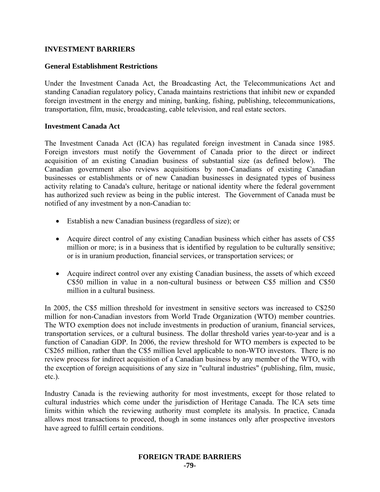## **INVESTMENT BARRIERS**

#### **General Establishment Restrictions**

Under the Investment Canada Act, the Broadcasting Act, the Telecommunications Act and standing Canadian regulatory policy, Canada maintains restrictions that inhibit new or expanded foreign investment in the energy and mining, banking, fishing, publishing, telecommunications, transportation, film, music, broadcasting, cable television, and real estate sectors.

#### **Investment Canada Act**

The Investment Canada Act (ICA) has regulated foreign investment in Canada since 1985. Foreign investors must notify the Government of Canada prior to the direct or indirect acquisition of an existing Canadian business of substantial size (as defined below). The Canadian government also reviews acquisitions by non-Canadians of existing Canadian businesses or establishments or of new Canadian businesses in designated types of business activity relating to Canada's culture, heritage or national identity where the federal government has authorized such review as being in the public interest. The Government of Canada must be notified of any investment by a non-Canadian to:

- Establish a new Canadian business (regardless of size); or
- Acquire direct control of any existing Canadian business which either has assets of C\$5 million or more; is in a business that is identified by regulation to be culturally sensitive; or is in uranium production, financial services, or transportation services; or
- Acquire indirect control over any existing Canadian business, the assets of which exceed C\$50 million in value in a non-cultural business or between C\$5 million and C\$50 million in a cultural business.

In 2005, the C\$5 million threshold for investment in sensitive sectors was increased to C\$250 million for non-Canadian investors from World Trade Organization (WTO) member countries. The WTO exemption does not include investments in production of uranium, financial services, transportation services, or a cultural business. The dollar threshold varies year-to-year and is a function of Canadian GDP. In 2006, the review threshold for WTO members is expected to be C\$265 million, rather than the C\$5 million level applicable to non-WTO investors. There is no review process for indirect acquisition of a Canadian business by any member of the WTO, with the exception of foreign acquisitions of any size in "cultural industries" (publishing, film, music, etc.).

Industry Canada is the reviewing authority for most investments, except for those related to cultural industries which come under the jurisdiction of Heritage Canada. The ICA sets time limits within which the reviewing authority must complete its analysis. In practice, Canada allows most transactions to proceed, though in some instances only after prospective investors have agreed to fulfill certain conditions.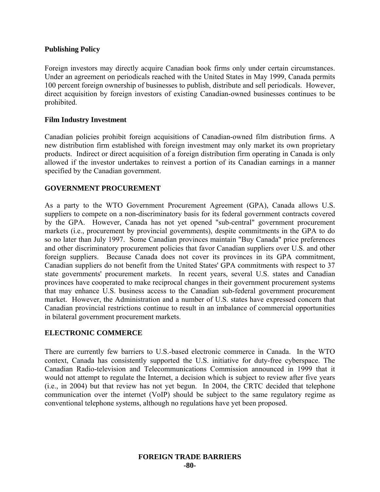## **Publishing Policy**

Foreign investors may directly acquire Canadian book firms only under certain circumstances. Under an agreement on periodicals reached with the United States in May 1999, Canada permits 100 percent foreign ownership of businesses to publish, distribute and sell periodicals. However, direct acquisition by foreign investors of existing Canadian-owned businesses continues to be prohibited.

## **Film Industry Investment**

Canadian policies prohibit foreign acquisitions of Canadian-owned film distribution firms. A new distribution firm established with foreign investment may only market its own proprietary products. Indirect or direct acquisition of a foreign distribution firm operating in Canada is only allowed if the investor undertakes to reinvest a portion of its Canadian earnings in a manner specified by the Canadian government.

## **GOVERNMENT PROCUREMENT**

As a party to the WTO Government Procurement Agreement (GPA), Canada allows U.S. suppliers to compete on a non-discriminatory basis for its federal government contracts covered by the GPA. However, Canada has not yet opened "sub-central" government procurement markets (i.e., procurement by provincial governments), despite commitments in the GPA to do so no later than July 1997. Some Canadian provinces maintain "Buy Canada" price preferences and other discriminatory procurement policies that favor Canadian suppliers over U.S. and other foreign suppliers. Because Canada does not cover its provinces in its GPA commitment, Canadian suppliers do not benefit from the United States' GPA commitments with respect to 37 state governments' procurement markets. In recent years, several U.S. states and Canadian provinces have cooperated to make reciprocal changes in their government procurement systems that may enhance U.S. business access to the Canadian sub-federal government procurement market. However, the Administration and a number of U.S. states have expressed concern that Canadian provincial restrictions continue to result in an imbalance of commercial opportunities in bilateral government procurement markets.

## **ELECTRONIC COMMERCE**

There are currently few barriers to U.S.-based electronic commerce in Canada. In the WTO context, Canada has consistently supported the U.S. initiative for duty-free cyberspace. The Canadian Radio-television and Telecommunications Commission announced in 1999 that it would not attempt to regulate the Internet, a decision which is subject to review after five years (i.e., in 2004) but that review has not yet begun. In 2004, the CRTC decided that telephone communication over the internet (VoIP) should be subject to the same regulatory regime as conventional telephone systems, although no regulations have yet been proposed.